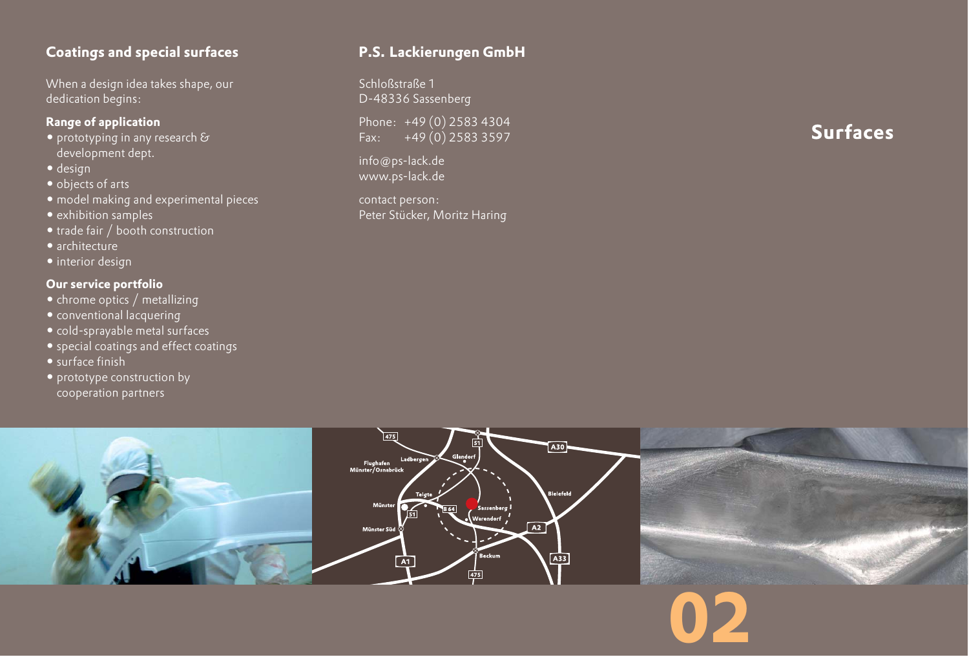# **Coatings and special surfaces**

When a design idea takes shape, our dedication begins:

## **Range of application**

- prototyping in any research  $\mathcal S$ development dept.
- design
- objects of arts
- model making and experimental pieces
- exhibition samples
- trade fair / booth construction
- architecture
- interior design

## **Our service portfolio**

- chrome optics / metallizing
- conventional lacquering
- cold-sprayable metal surfaces
- special coatings and effect coatings
- surface finish
- prototype construction by cooperation partners

# **P.S. Lackierungen GmbH**

Schloßstraße 1 D-48336 Sassenberg

Phone: +49 (0) 2583 4304 Fax: +49 (0) 2583 3597

info@ps-lack.de www.ps-lack.de

contact person: Peter Stücker, Moritz Haring **Surfaces**